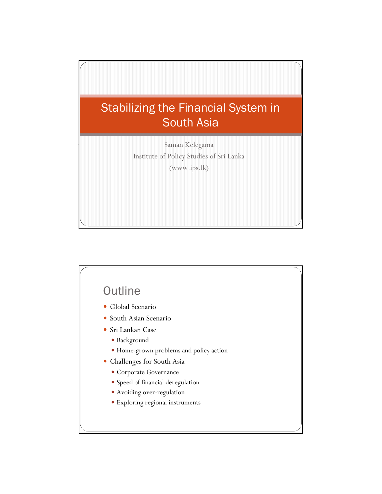

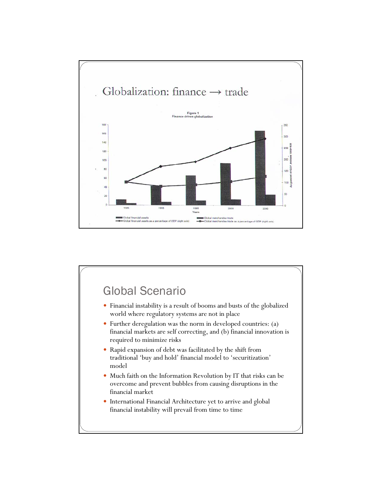

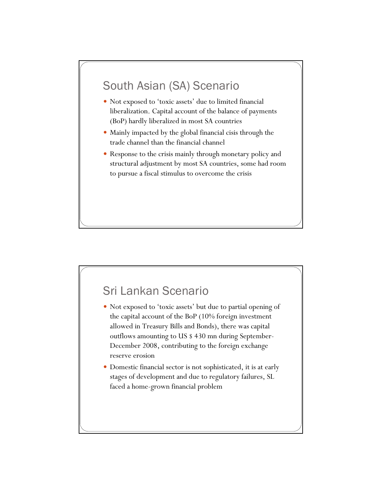# South Asian (SA) Scenario

- Not exposed to 'toxic assets' due to limited financial liberalization. Capital account of the balance of payments (BoP) hardly liberalized in most SA countries
- Mainly impacted by the global financial cisis through the trade channel than the financial channel
- Response to the crisis mainly through monetary policy and structural adjustment by most SA countries, some had room to pursue a fiscal stimulus to overcome the crisis

# Sri Lankan Scenario

- Not exposed to 'toxic assets' but due to partial opening of the capital account of the BoP (10% foreign investment allowed in Treasury Bills and Bonds), there was capital outflows amounting to US \$ 430 mn during September-December 2008, contributing to the foreign exchange reserve erosion
- Domestic financial sector is not sophisticated, it is at early stages of development and due to regulatory failures, SL faced a home-grown financial problem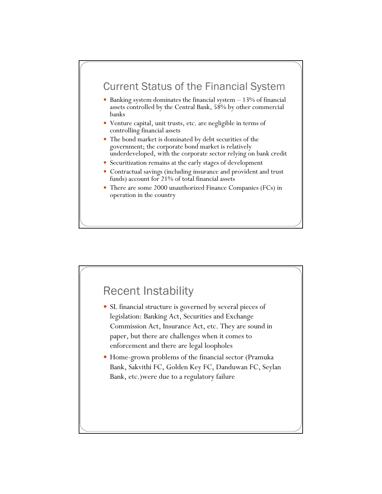### Current Status of the Financial System

- Banking system dominates the financial system  $-13\%$  of financial assets controlled by the Central Bank, 58% by other commercial banks
- Venture capital, unit trusts, etc. are negligible in terms of controlling financial assets
- The bond market is dominated by debt securities of the government; the corporate bond market is relatively underdeveloped, with the corporate sector relying on bank credit
- Securitization remains at the early stages of development
- Contractual savings (including insurance and provident and trust funds) account for 21% of total financial assets
- There are some 2000 unauthorized Finance Companies (FCs) in operation in the country

# Recent Instability • SL financial structure is governed by several pieces of legislation: Banking Act, Securities and Exchange Commission Act, Insurance Act, etc. They are sound in paper, but there are challenges when it comes to enforcement and there are legal loopholes • Home-grown problems of the financial sector (Pramuka Bank, Sakvithi FC, Golden Key FC, Danduwan FC, Seylan Bank, etc.)were due to a regulatory failure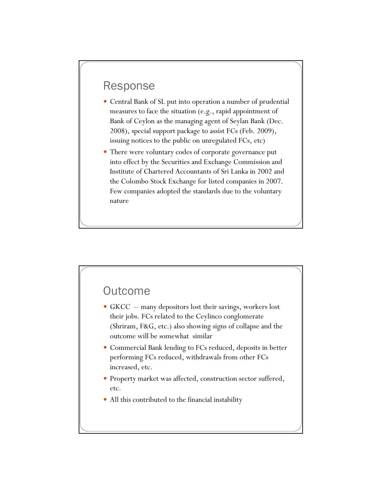### Response

- Central Bank of SL put into operation a number of prudential measures to face the situation (e.g., rapid appointment of Bank of Ceylon as the managing agent of Seylan Bank (Dec. 2008), special support package to assist FCs (Feb. 2009), issuing notices to the public on unregulated FCs, etc)
- There were voluntary codes of corporate governance put into effect by the Securities and Exchange Commission and Institute of Chartered Accountants of Sri Lanka in 2002 and the Colombo Stock Exchange for listed companies in 2007. Few companies adopted the standards due to the voluntary nature

#### **Outcome**

- GKCC -- many depositors lost their savings, workers lost their jobs. FCs related to the Ceylinco conglomerate (Shriram, F&G, etc.) also showing signs of collapse and the outcome will be somewhat similar
- Commercial Bank lending to FCs reduced, deposits in better performing FCs reduced, withdrawals from other FCs increased, etc.
- Property market was affected, construction sector suffered, etc.
- All this contributed to the financial instability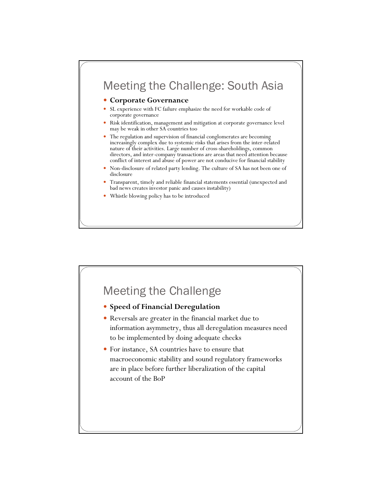# Meeting the Challenge: South Asia

#### **• Corporate Governance**

- SL experience with FC failure emphasize the need for workable code of corporate governance
- Risk identification, management and mitigation at corporate governance level may be weak in other SA countries too
- The regulation and supervision of financial conglomerates are becoming increasingly complex due to systemic risks that arises from the inter-related nature of their activities. Large number of cross-shareholdings, common directors, and inter-company transactions are areas that need attention because conflict of interest and abuse of power are not conducive for financial stability
- Non-disclosure of related party lending. The culture of SA has not been one of disclosure
- Transparent, timely and reliable financial statements essential (unexpected and bad news creates investor panic and causes instability)
- Whistle blowing policy has to be introduced

# Meeting the Challenge

- **Speed of Financial Deregulation**
- y Reversals are greater in the financial market due to information asymmetry, thus all deregulation measures need to be implemented by doing adequate checks
- y For instance, SA countries have to ensure that macroeconomic stability and sound regulatory frameworks are in place before further liberalization of the capital account of the BoP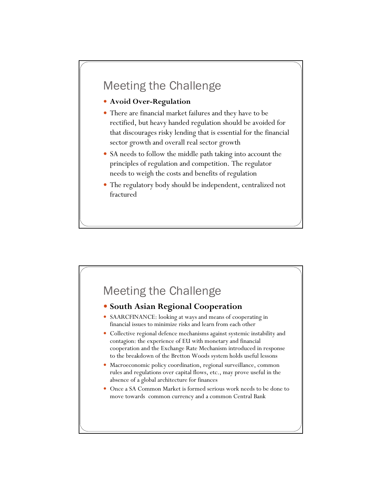# Meeting the Challenge

- y **Avoid Over-Regulation**
- There are financial market failures and they have to be rectified, but heavy handed regulation should be avoided for that discourages risky lending that is essential for the financial sector growth and overall real sector growth
- SA needs to follow the middle path taking into account the principles of regulation and competition. The regulator needs to weigh the costs and benefits of regulation
- The regulatory body should be independent, centralized not fractured



#### **• South Asian Regional Cooperation**

- SAARCFINANCE: looking at ways and means of cooperating in financial issues to minimize risks and learn from each other
- Collective regional defence mechanisms against systemic instability and contagion: the experience of EU with monetary and financial cooperation and the Exchange Rate Mechanism introduced in response to the breakdown of the Bretton Woods system holds useful lessons
- Macroeconomic policy coordination, regional surveillance, common rules and regulations over capital flows, etc., may prove useful in the absence of a global architecture for finances
- Once a SA Common Market is formed serious work needs to be done to move towards common currency and a common Central Bank